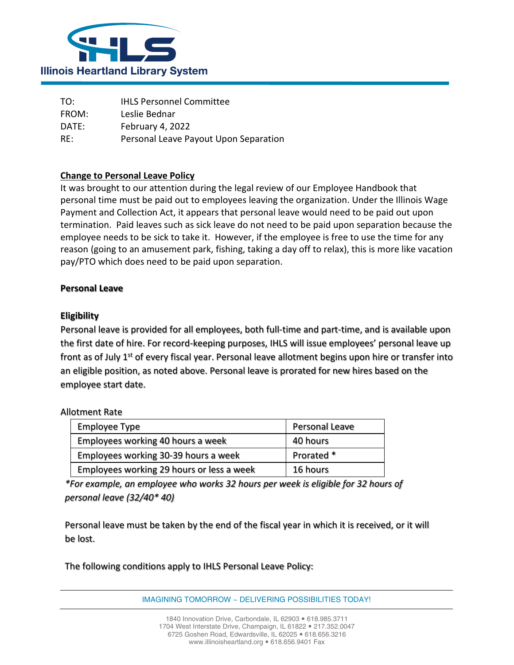

TO: IHLS Personnel Committee FROM: Leslie Bednar DATE: February 4, 2022 RE: Personal Leave Payout Upon Separation

## **Change to Personal Leave Policy**

It was brought to our attention during the legal review of our Employee Handbook that personal time must be paid out to employees leaving the organization. Under the Illinois Wage Payment and Collection Act, it appears that personal leave would need to be paid out upon termination. Paid leaves such as sick leave do not need to be paid upon separation because the employee needs to be sick to take it. However, if the employee is free to use the time for any reason (going to an amusement park, fishing, taking a day off to relax), this is more like vacation pay/PTO which does need to be paid upon separation.

## **Personal Leave**

## **Eligibility**

Personal leave is provided for all employees, both full-time and part-time, and is available upon the first date of hire. For record-keeping purposes, IHLS will issue employees' personal leave up front as of July 1<sup>st</sup> of every fiscal year. Personal leave allotment begins upon hire or transfer into an eligible position, as noted above. Personal leave is prorated for new hires based on the employee start date.

## Allotment Rate

| Employee Type                             | Personal Leave |
|-------------------------------------------|----------------|
| Employees working 40 hours a week         | 40 hours       |
| Employees working 30-39 hours a week      | Prorated *     |
| Employees working 29 hours or less a week | 16 hours       |

*\*For example, an employee who works 32 hours per week is eligible for 32 hours of personal leave (32/40\* 40)*

Personal leave must be taken by the end of the fiscal year in which it is received, or it will be lost.

The following conditions apply to IHLS Personal Leave Policy:

IMAGINING TOMORROW ~ DELIVERING POSSIBILITIES TODAY!